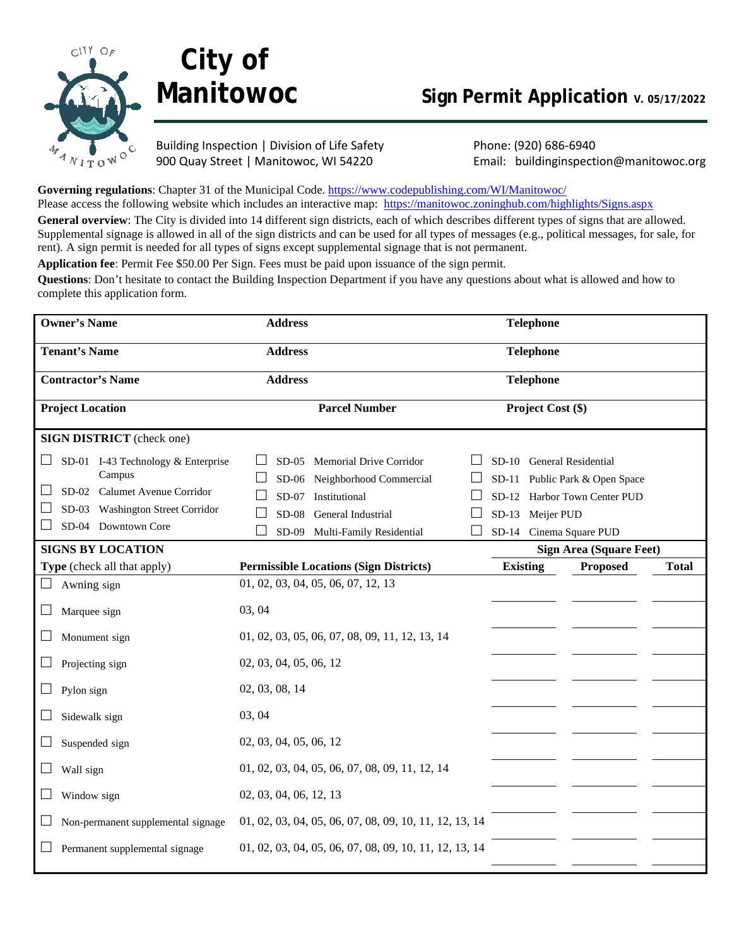

# **City of**

# **Manitowoc** Sign Permit Application **V. 05/17/2022**

Building Inspection | Division of Life Safety Phone: (920) 686-6940

900 Quay Street | Manitowoc, WI 54220 Email: buildinginspection@manitowoc.org

Governing regulations: Chapter 31 of the Municipal Code. <https://www.codepublishing.com/WI/Manitowoc/> Please access the following website which includes an interactive map: <https://manitowoc.zoninghub.com/highlights/Signs.aspx> **General overview**: The City is divided into 14 different sign districts, each of which describes different types of signs that are allowed. Supplemental signage is allowed in all of the sign districts and can be used for all types of messages (e.g., political messages, for sale, for rent). A sign permit is needed for all types of signs except supplemental signage that is not permanent.

**Application fee**: Permit Fee \$50.00 Per Sign. Fees must be paid upon issuance of the sign permit.

**Questions**: Don't hesitate to contact the Building Inspection Department if you have any questions about what is allowed and how to complete this application form.

| <b>Owner's Name</b>                                                                                                                                     | <b>Address</b>         |                                                                                                                                         |                  | <b>Telephone</b>  |                                                                                                                        |              |
|---------------------------------------------------------------------------------------------------------------------------------------------------------|------------------------|-----------------------------------------------------------------------------------------------------------------------------------------|------------------|-------------------|------------------------------------------------------------------------------------------------------------------------|--------------|
| <b>Tenant's Name</b>                                                                                                                                    | <b>Address</b>         |                                                                                                                                         |                  | Telephone         |                                                                                                                        |              |
| <b>Contractor's Name</b>                                                                                                                                | <b>Address</b>         |                                                                                                                                         |                  | <b>Telephone</b>  |                                                                                                                        |              |
| <b>Project Location</b>                                                                                                                                 |                        | <b>Parcel Number</b>                                                                                                                    |                  | Project Cost (\$) |                                                                                                                        |              |
| <b>SIGN DISTRICT</b> (check one)                                                                                                                        |                        |                                                                                                                                         |                  |                   |                                                                                                                        |              |
| SD-01 I-43 Technology & Enterprise<br>ப<br>Campus<br>SD-02 Calumet Avenue Corridor<br>ப<br>SD-03 Washington Street Corridor<br>SD-04 Downtown Core<br>ப | $SD-08$<br>$SD-09$     | SD-05 Memorial Drive Corridor<br>SD-06 Neighborhood Commercial<br>SD-07 Institutional<br>General Industrial<br>Multi-Family Residential | SD-13 Meijer PUD |                   | SD-10 General Residential<br>SD-11 Public Park & Open Space<br>SD-12 Harbor Town Center PUD<br>SD-14 Cinema Square PUD |              |
| <b>SIGNS BY LOCATION</b>                                                                                                                                |                        |                                                                                                                                         |                  |                   | <b>Sign Area (Square Feet)</b>                                                                                         |              |
| Type (check all that apply)                                                                                                                             |                        | <b>Permissible Locations (Sign Districts)</b>                                                                                           | <b>Existing</b>  |                   | <b>Proposed</b>                                                                                                        | <b>Total</b> |
| Awning sign                                                                                                                                             |                        | 01, 02, 03, 04, 05, 06, 07, 12, 13                                                                                                      |                  |                   |                                                                                                                        |              |
| Marquee sign<br>ப                                                                                                                                       | 03, 04                 |                                                                                                                                         |                  |                   |                                                                                                                        |              |
| Monument sign<br>ப                                                                                                                                      |                        | 01, 02, 03, 05, 06, 07, 08, 09, 11, 12, 13, 14                                                                                          |                  |                   |                                                                                                                        |              |
| ⊔<br>Projecting sign                                                                                                                                    | 02, 03, 04, 05, 06, 12 |                                                                                                                                         |                  |                   |                                                                                                                        |              |
| Pylon sign<br>ப                                                                                                                                         | 02, 03, 08, 14         |                                                                                                                                         |                  |                   |                                                                                                                        |              |
| Sidewalk sign<br>$\Box$                                                                                                                                 | 03, 04                 |                                                                                                                                         |                  |                   |                                                                                                                        |              |
| Suspended sign                                                                                                                                          | 02, 03, 04, 05, 06, 12 |                                                                                                                                         |                  |                   |                                                                                                                        |              |
| Wall sign                                                                                                                                               |                        | 01, 02, 03, 04, 05, 06, 07, 08, 09, 11, 12, 14                                                                                          |                  |                   |                                                                                                                        |              |
| Window sign<br>ப                                                                                                                                        | 02, 03, 04, 06, 12, 13 |                                                                                                                                         |                  |                   |                                                                                                                        |              |
| Non-permanent supplemental signage                                                                                                                      |                        | 01, 02, 03, 04, 05, 06, 07, 08, 09, 10, 11, 12, 13, 14                                                                                  |                  |                   |                                                                                                                        |              |
| Permanent supplemental signage                                                                                                                          |                        | 01, 02, 03, 04, 05, 06, 07, 08, 09, 10, 11, 12, 13, 14                                                                                  |                  |                   |                                                                                                                        |              |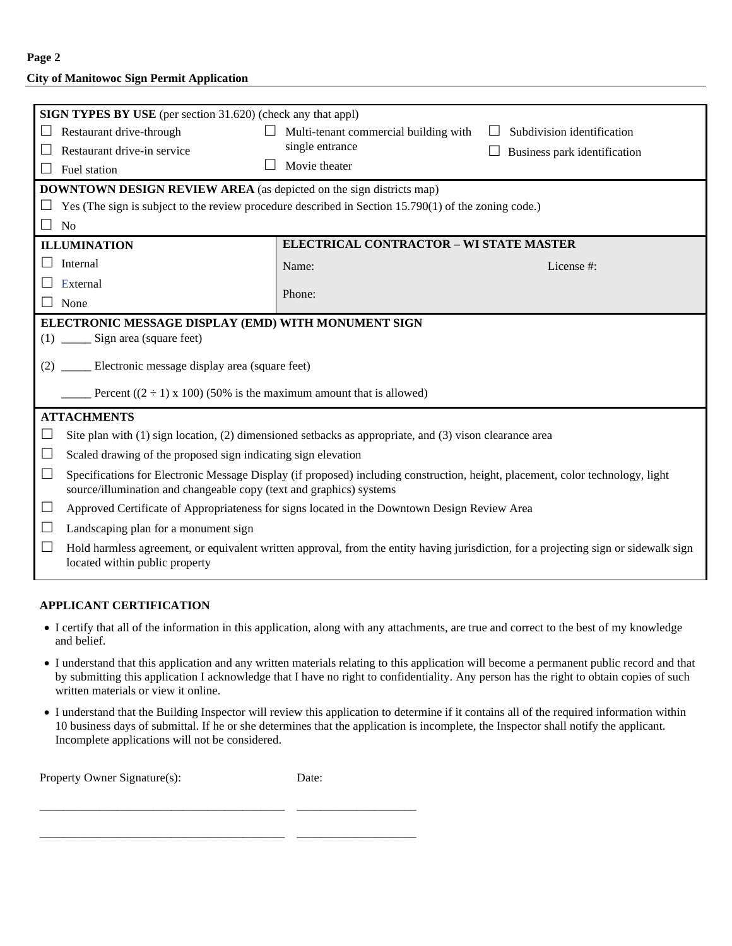**Page 2**

## **City of Manitowoc Sign Permit Application**

| <b>SIGN TYPES BY USE</b> (per section 31.620) (check any that appl)                                                                                                                                             |                                                                                              |                              |  |  |  |  |
|-----------------------------------------------------------------------------------------------------------------------------------------------------------------------------------------------------------------|----------------------------------------------------------------------------------------------|------------------------------|--|--|--|--|
| Restaurant drive-through                                                                                                                                                                                        | Multi-tenant commercial building with                                                        | Subdivision identification   |  |  |  |  |
| Restaurant drive-in service                                                                                                                                                                                     | single entrance                                                                              | Business park identification |  |  |  |  |
| Fuel station                                                                                                                                                                                                    | Movie theater                                                                                |                              |  |  |  |  |
| <b>DOWNTOWN DESIGN REVIEW AREA</b> (as depicted on the sign districts map)                                                                                                                                      |                                                                                              |                              |  |  |  |  |
| Yes (The sign is subject to the review procedure described in Section 15.790(1) of the zoning code.)                                                                                                            |                                                                                              |                              |  |  |  |  |
| N <sub>o</sub><br>$\Box$                                                                                                                                                                                        |                                                                                              |                              |  |  |  |  |
| <b>ILLUMINATION</b>                                                                                                                                                                                             | ELECTRICAL CONTRACTOR - WI STATE MASTER                                                      |                              |  |  |  |  |
| Internal<br>$\perp$                                                                                                                                                                                             | Name:                                                                                        | License #:                   |  |  |  |  |
| External                                                                                                                                                                                                        |                                                                                              |                              |  |  |  |  |
| None<br>$\perp$                                                                                                                                                                                                 | Phone:                                                                                       |                              |  |  |  |  |
| ELECTRONIC MESSAGE DISPLAY (EMD) WITH MONUMENT SIGN                                                                                                                                                             |                                                                                              |                              |  |  |  |  |
| $(1)$ _______ Sign area (square feet)                                                                                                                                                                           |                                                                                              |                              |  |  |  |  |
| Electronic message display area (square feet)<br>(2)                                                                                                                                                            |                                                                                              |                              |  |  |  |  |
| Percent $((2 \div 1) \times 100)$ (50% is the maximum amount that is allowed)                                                                                                                                   |                                                                                              |                              |  |  |  |  |
| <b>ATTACHMENTS</b>                                                                                                                                                                                              |                                                                                              |                              |  |  |  |  |
| Site plan with $(1)$ sign location, $(2)$ dimensioned setbacks as appropriate, and $(3)$ vison clearance area<br>$\Box$                                                                                         |                                                                                              |                              |  |  |  |  |
| ⊔                                                                                                                                                                                                               | Scaled drawing of the proposed sign indicating sign elevation                                |                              |  |  |  |  |
| $\Box$<br>Specifications for Electronic Message Display (if proposed) including construction, height, placement, color technology, light<br>source/illumination and changeable copy (text and graphics) systems |                                                                                              |                              |  |  |  |  |
| $\Box$                                                                                                                                                                                                          | Approved Certificate of Appropriateness for signs located in the Downtown Design Review Area |                              |  |  |  |  |
| Landscaping plan for a monument sign<br>ப                                                                                                                                                                       |                                                                                              |                              |  |  |  |  |
| ⊔<br>Hold harmless agreement, or equivalent written approval, from the entity having jurisdiction, for a projecting sign or sidewalk sign<br>located within public property                                     |                                                                                              |                              |  |  |  |  |

### **APPLICANT CERTIFICATION**

- I certify that all of the information in this application, along with any attachments, are true and correct to the best of my knowledge and belief.
- I understand that this application and any written materials relating to this application will become a permanent public record and that by submitting this application I acknowledge that I have no right to confidentiality. Any person has the right to obtain copies of such written materials or view it online.
- I understand that the Building Inspector will review this application to determine if it contains all of the required information within 10 business days of submittal. If he or she determines that the application is incomplete, the Inspector shall notify the applicant. Incomplete applications will not be considered.

Property Owner Signature(s): Date:

\_\_\_\_\_\_\_\_\_\_\_\_\_\_\_\_\_\_\_\_\_\_\_\_\_\_\_\_\_\_\_\_\_\_\_\_\_\_\_\_\_ \_\_\_\_\_\_\_\_\_\_\_\_\_\_\_\_\_\_\_\_

\_\_\_\_\_\_\_\_\_\_\_\_\_\_\_\_\_\_\_\_\_\_\_\_\_\_\_\_\_\_\_\_\_\_\_\_\_\_\_\_\_ \_\_\_\_\_\_\_\_\_\_\_\_\_\_\_\_\_\_\_\_